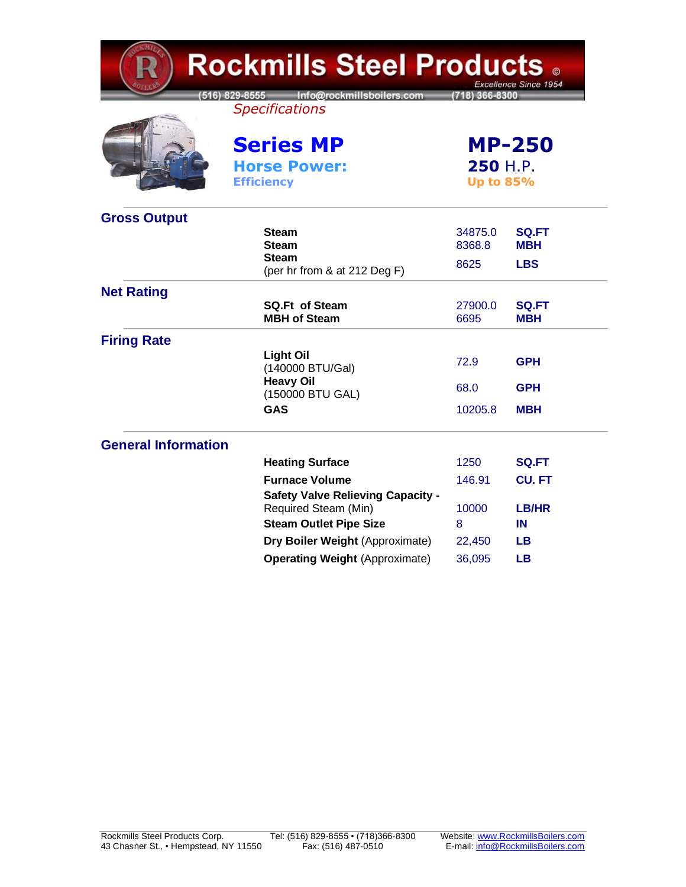| <b>Rockmills Steel Products 。</b><br>Excellence Since 1954 |                                                                   |                                               |                            |  |
|------------------------------------------------------------|-------------------------------------------------------------------|-----------------------------------------------|----------------------------|--|
|                                                            | (516) 829-8555 Info@rockmillsboilers.com<br><b>Specifications</b> | (718) 366-8300                                |                            |  |
|                                                            | <b>Series MP</b><br><b>Horse Power:</b><br><b>Efficiency</b>      | <b>MP-250</b><br>250 H.P.<br><b>Up to 85%</b> |                            |  |
| <b>Gross Output</b>                                        |                                                                   |                                               |                            |  |
|                                                            | <b>Steam</b><br><b>Steam</b>                                      | 34875.0<br>8368.8                             | <b>SQ.FT</b><br><b>MBH</b> |  |
|                                                            | <b>Steam</b><br>(per hr from & at 212 Deg F)                      | 8625                                          | <b>LBS</b>                 |  |
| <b>Net Rating</b>                                          |                                                                   |                                               |                            |  |
|                                                            | <b>SQ.Ft of Steam</b><br><b>MBH of Steam</b>                      | 27900.0<br>6695                               | <b>SQ.FT</b><br><b>MBH</b> |  |
| <b>Firing Rate</b>                                         |                                                                   |                                               |                            |  |
|                                                            | <b>Light Oil</b><br>(140000 BTU/Gal)                              | 72.9                                          | <b>GPH</b>                 |  |
|                                                            | <b>Heavy Oil</b><br>(150000 BTU GAL)                              | 68.0                                          | <b>GPH</b>                 |  |
|                                                            | <b>GAS</b>                                                        | 10205.8                                       | <b>MBH</b>                 |  |
| <b>General Information</b>                                 |                                                                   |                                               |                            |  |
|                                                            | <b>Heating Surface</b>                                            | 1250                                          | <b>SQ.FT</b>               |  |
|                                                            | <b>Furnace Volume</b>                                             | 146.91                                        | <b>CU.FT</b>               |  |
|                                                            | <b>Safety Valve Relieving Capacity -</b><br>Required Steam (Min)  | 10000                                         | <b>LB/HR</b>               |  |
|                                                            | <b>Steam Outlet Pipe Size</b>                                     | 8                                             | IN                         |  |
|                                                            | Dry Boiler Weight (Approximate)                                   | 22,450                                        | <b>LB</b>                  |  |
|                                                            | <b>Operating Weight (Approximate)</b>                             | 36,095                                        | <b>LB</b>                  |  |

 $V M$